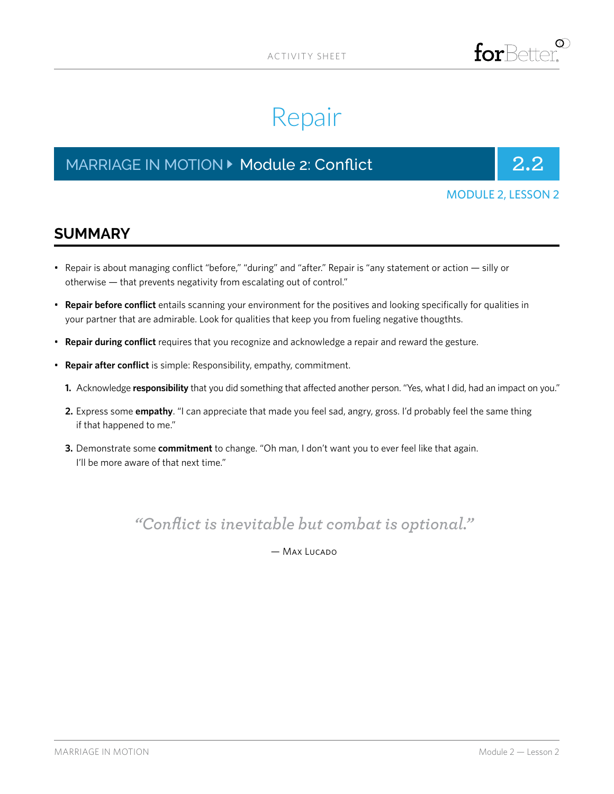

# Repair

# MARRIAGE IN MOTION **Details and Analytic Article 2: Conflict** 2.2



#### MODULE 2, LESSON 2

### **SUMMARY**

- Repair is about managing conflict "before," "during" and "after." Repair is "any statement or action silly or otherwise — that prevents negativity from escalating out of control."
- **Repair before conflict** entails scanning your environment for the positives and looking specifically for qualities in your partner that are admirable. Look for qualities that keep you from fueling negative thougthts.
- **Repair during conflict** requires that you recognize and acknowledge a repair and reward the gesture.
- **Repair after conflict** is simple: Responsibility, empathy, commitment.
	- **1.** Acknowledge **responsibility** that you did something that affected another person. "Yes, what I did, had an impact on you."
	- **2.** Express some **empathy**. "I can appreciate that made you feel sad, angry, gross. I'd probably feel the same thing if that happened to me."
	- **3.** Demonstrate some **commitment** to change. "Oh man, I don't want you to ever feel like that again. I'll be more aware of that next time."

*"Conflict is inevitable but combat is optional."* 

— Max Lucado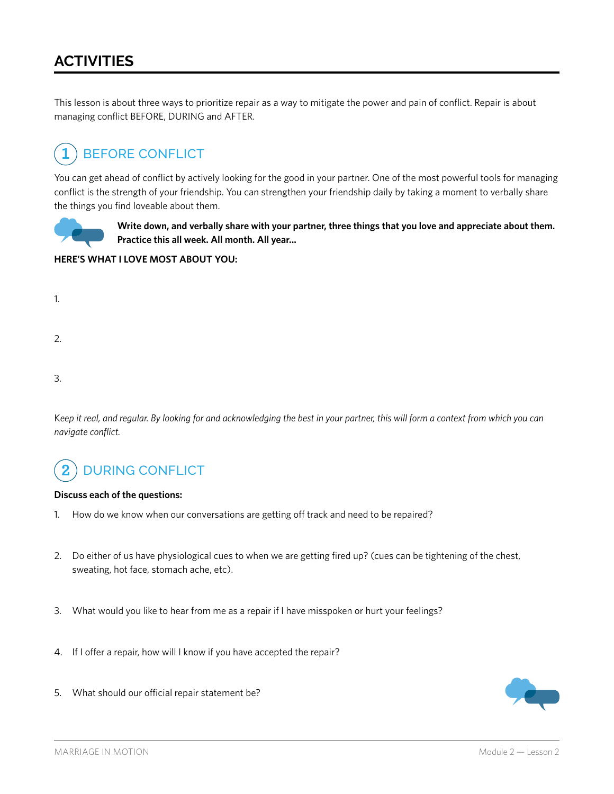## **ACTIVITIES**

This lesson is about three ways to prioritize repair as a way to mitigate the power and pain of conflict. Repair is about managing conflict BEFORE, DURING and AFTER.

#### BEFORE CONFLICT **1**

You can get ahead of conflict by actively looking for the good in your partner. One of the most powerful tools for managing conflict is the strength of your friendship. You can strengthen your friendship daily by taking a moment to verbally share the things you find loveable about them.



**Write down, and verbally share with your partner, three things that you love and appreciate about them. Practice this all week. All month. All year...**

#### **HERE'S WHAT I LOVE MOST ABOUT YOU:**

2.

3.

K*eep it real, and regular. By looking for and acknowledging the best in your partner, this will form a context from which you can navigate conflict.*

#### DURING CONFLICT **2**

#### **Discuss each of the questions:**

- 1. How do we know when our conversations are getting off track and need to be repaired?
- 2. Do either of us have physiological cues to when we are getting fired up? (cues can be tightening of the chest, sweating, hot face, stomach ache, etc).
- 3. What would you like to hear from me as a repair if I have misspoken or hurt your feelings?
- 4. If I offer a repair, how will I know if you have accepted the repair?
- 5. What should our official repair statement be?

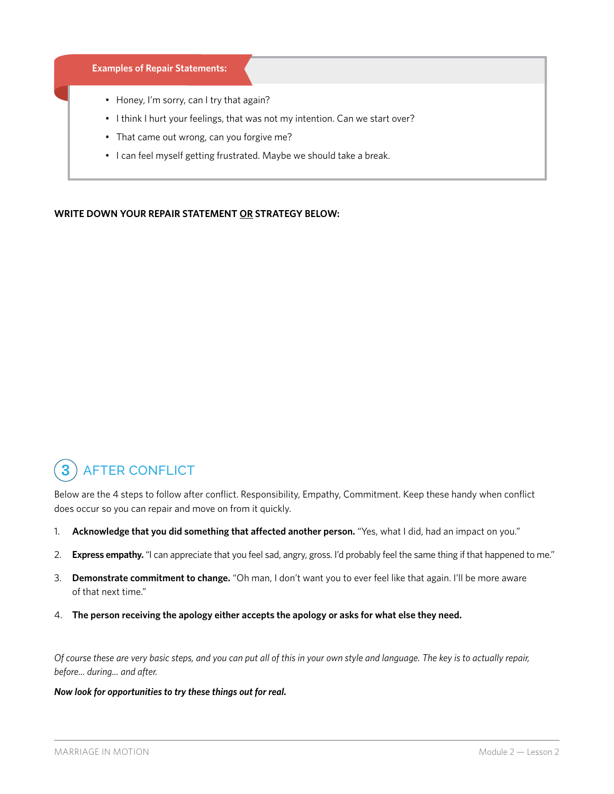#### **Examples of Repair Statements:**

- Honey, I'm sorry, can I try that again?
- I think I hurt your feelings, that was not my intention. Can we start over?
- That came out wrong, can you forgive me?
- I can feel myself getting frustrated. Maybe we should take a break.

#### **WRITE DOWN YOUR REPAIR STATEMENT OR STRATEGY BELOW:**

#### AFTER CONFLICT **3**

Below are the 4 steps to follow after conflict. Responsibility, Empathy, Commitment. Keep these handy when conflict does occur so you can repair and move on from it quickly.

- 1. **Acknowledge that you did something that affected another person.** "Yes, what I did, had an impact on you."
- 2. **Express empathy.** "I can appreciate that you feel sad, angry, gross. I'd probably feel the same thing if that happened to me."
- 3. **Demonstrate commitment to change.** "Oh man, I don't want you to ever feel like that again. I'll be more aware of that next time."
- 4. **The person receiving the apology either accepts the apology or asks for what else they need.**

*Of course these are very basic steps, and you can put all of this in your own style and language. The key is to actually repair, before... during... and after.*

#### *Now look for opportunities to try these things out for real.*